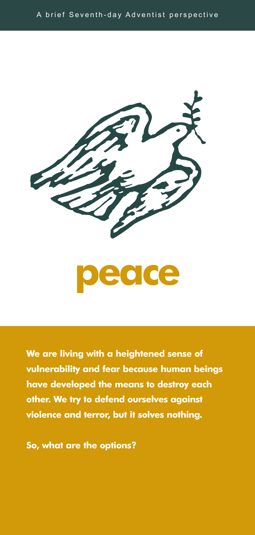

**We are living with a heightened sense of vulnerability and fear because human beings have developed the means to destroy each other. We try to defend ourselves against violence and terror, but it solves nothing.**

**So, what are the options?**